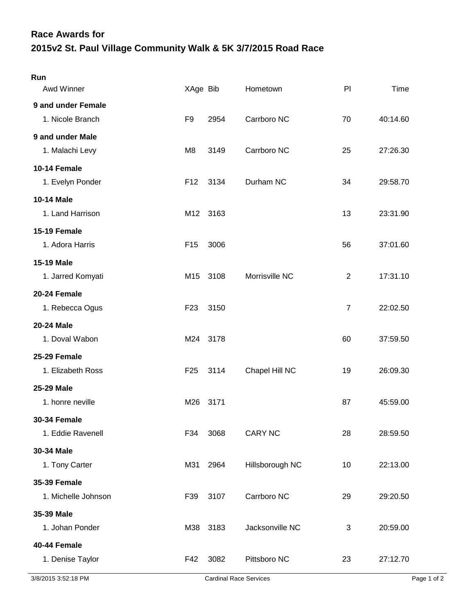## **2015v2 St. Paul Village Community Walk & 5K 3/7/2015 Road Race Race Awards for**

| Run                 |                 |      |                 |                |          |
|---------------------|-----------------|------|-----------------|----------------|----------|
| Awd Winner          | XAge Bib        |      | Hometown        | PI             | Time     |
| 9 and under Female  |                 |      |                 |                |          |
| 1. Nicole Branch    | F <sub>9</sub>  | 2954 | Carrboro NC     | 70             | 40:14.60 |
| 9 and under Male    |                 |      |                 |                |          |
| 1. Malachi Levy     | M <sub>8</sub>  | 3149 | Carrboro NC     | 25             | 27:26.30 |
| 10-14 Female        |                 |      |                 |                |          |
| 1. Evelyn Ponder    | F <sub>12</sub> | 3134 | Durham NC       | 34             | 29:58.70 |
| <b>10-14 Male</b>   |                 |      |                 |                |          |
| 1. Land Harrison    | M12             | 3163 |                 | 13             | 23:31.90 |
| <b>15-19 Female</b> |                 |      |                 |                |          |
| 1. Adora Harris     | F <sub>15</sub> | 3006 |                 | 56             | 37:01.60 |
| <b>15-19 Male</b>   |                 |      |                 |                |          |
| 1. Jarred Komyati   | M15             | 3108 | Morrisville NC  | $\overline{2}$ | 17:31.10 |
| 20-24 Female        |                 |      |                 |                |          |
| 1. Rebecca Ogus     | F <sub>23</sub> | 3150 |                 | $\overline{7}$ | 22:02.50 |
| 20-24 Male          |                 |      |                 |                |          |
| 1. Doval Wabon      | M24             | 3178 |                 | 60             | 37:59.50 |
| 25-29 Female        |                 |      |                 |                |          |
| 1. Elizabeth Ross   | F <sub>25</sub> | 3114 | Chapel Hill NC  | 19             | 26:09.30 |
| 25-29 Male          |                 |      |                 |                |          |
| 1. honre neville    | M26             | 3171 |                 | 87             | 45:59.00 |
| <b>30-34 Female</b> |                 |      |                 |                |          |
| 1. Eddie Ravenell   | F34             | 3068 | <b>CARY NC</b>  | 28             | 28:59.50 |
| 30-34 Male          |                 |      |                 |                |          |
| 1. Tony Carter      | M31             | 2964 | Hillsborough NC | 10             | 22:13.00 |
| <b>35-39 Female</b> |                 |      |                 |                |          |
| 1. Michelle Johnson | F39             | 3107 | Carrboro NC     | 29             | 29:20.50 |
| 35-39 Male          |                 |      |                 |                |          |
| 1. Johan Ponder     | M38             | 3183 | Jacksonville NC | 3              | 20:59.00 |
| 40-44 Female        |                 |      |                 |                |          |
| 1. Denise Taylor    | F42             | 3082 | Pittsboro NC    | 23             | 27:12.70 |